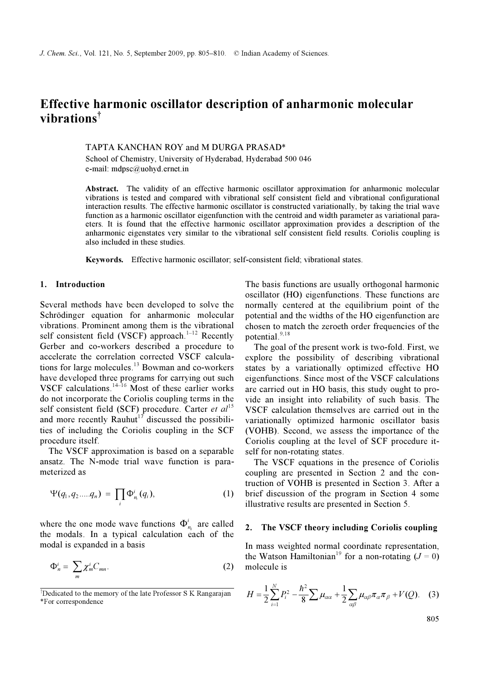# Effective harmonic oscillator description of anharmonic molecular vibrations<sup>†</sup>

## TAPTA KANCHAN ROY and M DURGA PRASAD\*

School of Chemistry, University of Hyderabad, Hyderabad 500 046 e-mail: mdpsc@uohyd.ernet.in

Abstract. The validity of an effective harmonic oscillator approximation for anharmonic molecular vibrations is tested and compared with vibrational self consistent field and vibrational configurational interaction results. The effective harmonic oscillator is constructed variationally, by taking the trial wave function as a harmonic oscillator eigenfunction with the centroid and width parameter as variational paraeters. It is found that the effective harmonic oscillator approximation provides a description of the anharmonic eigenstates very similar to the vibrational self consistent field results. Coriolis coupling is also included in these studies.

Keywords. Effective harmonic oscillator; self-consistent field; vibrational states.

## 1. Introduction

Several methods have been developed to solve the Schrödinger equation for anharmonic molecular vibrations. Prominent among them is the vibrational self consistent field (VSCF) approach. $1-12$  Recently Gerber and co-workers described a procedure to accelerate the correlation corrected VSCF calculations for large molecules.<sup>13</sup> Bowman and co-workers have developed three programs for carrying out such VSCF calculations. $14-16$  Most of these earlier works do not incorporate the Coriolis coupling terms in the self consistent field (SCF) procedure. Carter et  $al<sup>15</sup>$ and more recently Rauhut<sup>17</sup> discussed the possibilities of including the Coriolis coupling in the SCF procedure itself.

 The VSCF approximation is based on a separable ansatz. The N-mode trial wave function is parameterized as

$$
\Psi(q_1, q_2 .... q_n) = \prod_i \Phi^i_{n_i}(q_i), \qquad (1)
$$

where the one mode wave functions  $\Phi_{n_i}^i$  are called the modals. In a typical calculation each of the modal is expanded in a basis

$$
\Phi_n^i = \sum_m \chi_m^i C_{mn}.\tag{2}
$$

The basis functions are usually orthogonal harmonic oscillator (HO) eigenfunctions. These functions are normally centered at the equilibrium point of the potential and the widths of the HO eigenfunction are chosen to match the zeroeth order frequencies of the potential.<sup>9,18</sup>

 The goal of the present work is two-fold. First, we explore the possibility of describing vibrational states by a variationally optimized effective HO eigenfunctions. Since most of the VSCF calculations are carried out in HO basis, this study ought to provide an insight into reliability of such basis. The VSCF calculation themselves are carried out in the variationally optimized harmonic oscillator basis (VOHB). Second, we assess the importance of the Coriolis coupling at the level of SCF procedure itself for non-rotating states.

 The VSCF equations in the presence of Coriolis coupling are presented in Section 2 and the contruction of VOHB is presented in Section 3. After a brief discussion of the program in Section 4 some illustrative results are presented in Section 5.

## 2. The VSCF theory including Coriolis coupling

In mass weighted normal coordinate representation, the Watson Hamiltonian<sup>19</sup> for a non-rotating  $(J = 0)$ molecule is

$$
H = \frac{1}{2} \sum_{i=1}^{N} P_i^2 - \frac{\hbar^2}{8} \sum \mu_{\alpha\alpha} + \frac{1}{2} \sum_{\alpha\beta} \mu_{\alpha\beta} \pi_{\alpha} \pi_{\beta} + V(Q). \quad (3)
$$

805

<sup>†</sup> Dedicated to the memory of the late Professor S K Rangarajan \*For correspondence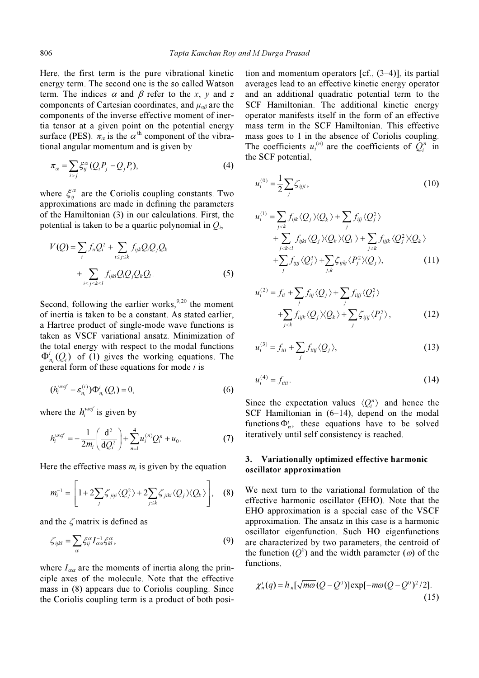Here, the first term is the pure vibrational kinetic energy term. The second one is the so called Watson term. The indices  $\alpha$  and  $\beta$  refer to the x, y and z components of Cartesian coordinates, and  $\mu_{\alpha\beta}$  are the components of the inverse effective moment of inertia tensor at a given point on the potential energy surface (PES).  $\pi_{\alpha}$  is the  $\alpha^{\text{th}}$  component of the vibrational angular momentum and is given by

$$
\pi_{\alpha} = \sum_{i>j} \xi_{ij}^{\alpha} (Q_i P_j - Q_j P_i), \tag{4}
$$

where  $\xi_{ii}^{\alpha}$  are the Coriolis coupling constants. Two approximations are made in defining the parameters of the Hamiltonian (3) in our calculations. First, the potential is taken to be a quartic polynomial in  $Q_i$ ,

$$
V(Q) = \sum_{i} f_{ii} Q_i^2 + \sum_{i \le j \le k} f_{ijk} Q_i Q_j Q_k
$$
  
+ 
$$
\sum_{i \le j \le k \le l} f_{ijkl} Q_i Q_j Q_k Q_l.
$$
 (5)

Second, following the earlier works,  $9,20$  the moment of inertia is taken to be a constant. As stated earlier, a Hartree product of single-mode wave functions is taken as VSCF variational ansatz. Minimization of the total energy with respect to the modal functions  $\Phi_{n_i}^i(Q_i)$  of (1) gives the working equations. The general form of these equations for mode  $i$  is in as visely variational ansatz. Minimization of<br>total energy with respect to the modal functions<br>( $Q_i$ ) of (1) gives the working equations. The<br>eral form of these equations for mode *i* is<br> $h_i^{wcf} - \varepsilon_n^{(i)} \Psi_n^i (Q_i) = 0,$ 

$$
\left(h_i^{\text{vscf}} - \varepsilon_{n_i}^{(i)}\right) \Phi_{n_i}^i\left(Q_i\right) = 0,\tag{6}
$$

where the  $h_i^{v\text{scf}}$  is given by

$$
h_i^{vscf} = -\frac{1}{2m_i} \left( \frac{\mathrm{d}^2}{\mathrm{d}Q_i^2} \right) + \sum_{n=1}^4 u_i^{(n)} Q_i^n + u_0. \tag{7}
$$

Here the effective mass  $m_i$  is given by the equation

$$
m_i^{-1} = \left[1 + 2\sum_j \zeta_{jij} \langle Q_j^2 \rangle + 2\sum_{j \le k} \zeta_{jik} \langle Q_j \rangle \langle Q_k \rangle \right], \quad (8)
$$
  
d the  $\zeta$  matrix is defined as  

$$
\zeta_{ijkl} = \sum \xi_{ij}^{\alpha} I_{\alpha\alpha}^{-1} \xi_{kl}^{\alpha}, \qquad (9)
$$

and the  $\zeta$  matrix is defined as

$$
\zeta_{ijkl} = \sum_{\alpha} \xi_{ij}^{\alpha} I_{\alpha\alpha}^{-1} \xi_{kl}^{\alpha}, \qquad (9)
$$

where  $I_{\alpha\alpha}$  are the moments of inertia along the principle axes of the molecule. Note that the effective mass in (8) appears due to Coriolis coupling. Since the Coriolis coupling term is a product of both position and momentum operators [cf., (3–4)], its partial averages lead to an effective kinetic energy operator and an additional quadratic potential term to the SCF Hamiltonian. The additional kinetic energy operator manifests itself in the form of an effective mass term in the SCF Hamiltonian. This effective mass goes to 1 in the absence of Coriolis coupling. The coefficients  $u_i^{(n)}$  are the coefficients of  $Q_i^n$  in the SCF potential,

$$
u_i^{(0)} = \frac{1}{2} \sum_j \zeta_{ijji},
$$
 (10)

$$
u_i^{(1)} = \sum_{j < k} f_{ijk} \langle Q_j \rangle \langle Q_k \rangle + \sum_j f_{ij} \langle Q_j^2 \rangle
$$
  
+ 
$$
\sum_{j < k < l} f_{ijki} \langle Q_j \rangle \langle Q_k \rangle \langle Q_l \rangle + \sum_{j \neq k} f_{ijjk} \langle Q_j^2 \rangle \langle Q_k \rangle
$$
  
+ 
$$
\sum_j f_{ijjj} \langle Q_j^3 \rangle + \sum_{j,k} \zeta_{ijkj} \langle P_j^2 \rangle \langle Q_j \rangle, \tag{11}
$$

$$
u_i^{(2)} = f_{ii} + \sum_j f_{ijj} \langle Q_j \rangle + \sum_j f_{ijj} \langle Q_j^2 \rangle
$$
  
+
$$
\sum_{j < k} f_{ijjk} \langle Q_j \rangle \langle Q_k \rangle + \sum_j \zeta_{ijj} \langle P_j^2 \rangle, \tag{12}
$$

$$
u_i^{(3)} = f_{iii} + \sum_j f_{iij} \langle Q_j \rangle, \tag{13}
$$

$$
u_i^{(4)} = f_{\text{ini}}.\tag{14}
$$

Since the expectation values  $\langle Q_i^n \rangle$  and hence the SCF Hamiltonian in (6–14), depend on the modal functions  $\Phi_n^i$ , these equations have to be solved iteratively until self consistency is reached.

# 3. Variationally optimized effective harmonic oscillator approximation

We next turn to the variational formulation of the effective harmonic oscillator (EHO). Note that the EHO approximation is a special case of the VSCF approximation. The ansatz in this case is a harmonic oscillator eigenfunction. Such HO eigenfunctions are characterized by two parameters, the centroid of the function  $(Q^0)$  and the width parameter ( $\omega$ ) of the functions functions,

$$
\chi_n^i(q) = h_n[\sqrt{m\omega} (Q - Q^0)] \exp[-m\omega (Q - Q^0)^2/2].
$$
\n(15)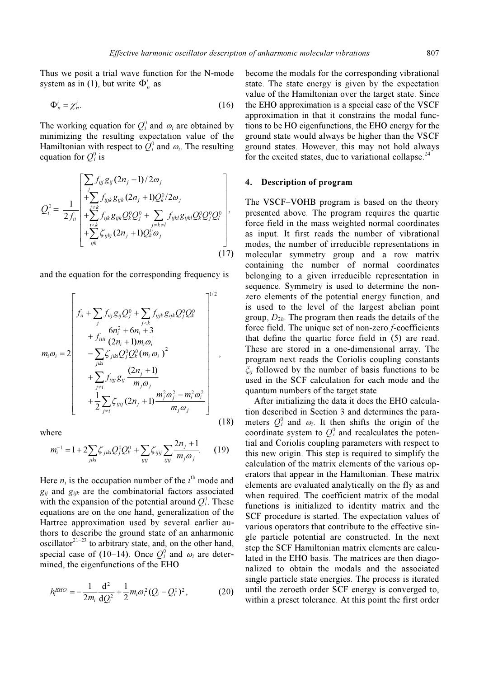Thus we posit a trial wave function for the N-mode system as in (1), but write  $\Phi_n^i$  as

$$
\Phi_n^i = \chi_n^i. \tag{16}
$$

The working equation for  $Q_i^0$  and  $\omega_i$  are obtained by<br>minimizing the resulting expectation value of the minimizing the resulting expectation value of the Hamiltonian with respect to  $\hat{Q}_i^0$  and  $\omega_i$ . The resulting equation for  $O_i^0$  is equation for  $Q_i^0$  is

$$
Q_i^0 = \frac{1}{2f_{ii}} \begin{bmatrix} \sum_j f_{ijj} g_{ij} (2n_j + 1) / 2\omega_j \\ + \sum_j f_{ijjk} g_{ijk} (2n_j + 1) Q_k^0 / 2\omega_j \\ + \sum_{i < k} f_{ijk} g_{ijk} Q_k^0 Q_j^0 + \sum_{j < k < l} f_{ijkl} g_{ijkl} Q_k^0 Q_j^0 Q_l^0 \\ + \sum_{ijk} \zeta_{ijkj} (2n_j + 1) Q_k^0 \omega_j \end{bmatrix},
$$
\n(17)

and the equation for the corresponding frequency is

$$
m_i \omega_i = 2 \begin{bmatrix} f_{ii} + \sum_j f_{iij} g_{ij} Q_j^0 + \sum_{j < k} f_{iijk} g_{ijk} Q_j^0 Q_k^0 \\ + f_{iiii} \frac{6n_i^2 + 6n_i + 3}{(2n_i + 1)m_i \omega_i} \\ - \sum_{jiki} \zeta_{jiki} Q_j^0 Q_k^0 (m_i \omega_i)^2 \\ + \sum_{j \neq i} f_{iijj} g_{ij} \frac{(2n_j + 1)}{m_j \omega_j} \\ + \frac{1}{2} \sum_{j \neq i} \zeta_{ijij} (2n_j + 1) \frac{m_j^2 \omega_j^2 - m_i^2 \omega_i^2}{m_j \omega_j} \end{bmatrix},
$$
\n(18)

where

$$
m_i^{-1} = 1 + 2 \sum_{jiki} \zeta_{jiki} Q_j^0 Q_k^0 + \sum_{ijij} \zeta_{ijij} \sum_{ijij} \frac{2n_j + 1}{m_j \omega_j}.
$$
 (19)

Here  $n_i$  is the occupation number of the  $i^{\text{th}}$  mode and  $q_{\text{tot}}$  are the combinatorial factors associated  $g_{ii}$  and  $g_{iik}$  are the combinatorial factors associated with the expansion of the potential around  $Q_i^0$ . These<br>equations are on the one hand, generalization of the equations are on the one hand, generalization of the Hartree approximation used by several earlier authors to describe the ground state of an anharmonic oscillator $2^{1-23}$  to arbitrary state, and, on the other hand, special case of (10–14). Once  $Q_i^0$  and  $\omega_i$  are deter-<br>mined the eigenfunctions of the FHO mined, the eigenfunctions of the EHO

$$
h_i^{EHO} = -\frac{1}{2m_i} \frac{d^2}{dQ_i^2} + \frac{1}{2} m_i \omega_i^2 (Q_i - Q_i^0)^2, \qquad (20)
$$

become the modals for the corresponding vibrational state. The state energy is given by the expectation value of the Hamiltonian over the target state. Since the EHO approximation is a special case of the VSCF approximation in that it constrains the modal functions to be HO eigenfunctions, the EHO energy for the ground state would always be higher than the VSCF ground states. However, this may not hold always for the excited states, due to variational collapse.<sup>24</sup>

## 4. Description of program

The VSCF–VOHB program is based on the theory presented above. The program requires the quartic force field in the mass weighted normal coordinates as input. It first reads the number of vibrational modes, the number of irreducible representations in molecular symmetry group and a row matrix containing the number of normal coordinates belonging to a given irreducible representation in sequence. Symmetry is used to determine the nonzero elements of the potential energy function, and is used to the level of the largest abelian point group,  $D_{2h}$ . The program then reads the details of the force field. The unique set of non-zero *f*-coefficients that define the quartic force field in (5) are read. These are stored in a one-dimensional array. The program next reads the Coriolis coupling constants  $\zeta_{ii}$  followed by the number of basis functions to be used in the SCF calculation for each mode and the quantum numbers of the target state.

 After initializing the data it does the EHO calculation described in Section 3 and determines the parameters  $Q_i^0$  and  $\omega_i$ . It then shifts the origin of the coordinate system to  $Q_i^0$  and recalculates the notencoordinate system to  $Q_i^0$  and recalculates the potential and Coriolis coupling parameters with respect to tial and Coriolis coupling parameters with respect to this new origin. This step is required to simplify the calculation of the matrix elements of the various operators that appear in the Hamiltonian. These matrix elements are evaluated analytically on the fly as and when required. The coefficient matrix of the modal functions is initialized to identity matrix and the SCF procedure is started. The expectation values of various operators that contribute to the effective single particle potential are constructed. In the next step the SCF Hamiltonian matrix elements are calculated in the EHO basis. The matrices are then diagonalized to obtain the modals and the associated single particle state energies. The process is iterated until the zeroeth order SCF energy is converged to, within a preset tolerance. At this point the first order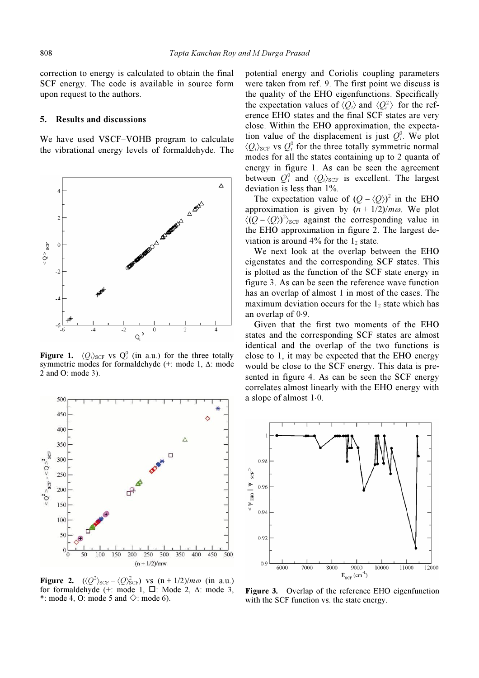correction to energy is calculated to obtain the final SCF energy. The code is available in source form upon request to the authors.

#### 5. Results and discussions

We have used VSCF–VOHB program to calculate the vibrational energy levels of formaldehyde. The



**Figure 1.**  $\langle Q_i \rangle_{SCF}$  vs  $Q_i^0$  (in a.u.) for the three totally symmetric modes for formaldehyde (+ mode 1  $\Lambda$  mode symmetric modes for formaldehyde (+: mode 1, Δ: mode 2 and Ο: mode 3).



**Figure 2.**  $\langle Q^2 \rangle_{\text{SCF}} - \langle Q \rangle_{\text{SCF}}^2$  vs  $(n + 1/2)/m\omega$  (in a.u.)<br>for formaldehyde (+ mode 1  $\Box$  Mode 2 A mode 3 for formaldehyde  $(+ \mod 1, \Box)$  Mode 2,  $\Delta$ : mode 3, \*: mode 4, O: mode 5 and  $\Diamond$ : mode 6).

potential energy and Coriolis coupling parameters were taken from ref. 9. The first point we discuss is the quality of the EHO eigenfunctions. Specifically the expectation values of  $\langle O_i \rangle$  and  $\langle O_i^2 \rangle$  for the reference EHO states and the final SCF states are very close. Within the EHO approximation, the expectation value of the displacement is just  $Q_i^0$ . We plot  $\langle Q \rangle_{\text{corr}}$  is  $Q_i^0$  for the three totally symmetric normal  $\langle Q_i \rangle_{\text{SCF}}$  vs  $Q_i^0$  for the three totally symmetric normal<br>modes for all the states containing up to 2 quanta of modes for all the states containing up to 2 quanta of energy in figure 1. As can be seen the agreement between  $Q_i^0$  and  $\langle Q_i \rangle_{SCF}$  is excellent. The largest<br>deviation is less than 1% deviation is less than 1%.

The expectation value of  $(Q - \langle Q \rangle)^2$  in the EHO<br>approximation is given by  $(n + 1/2)/mq$ . We plot approximation is given by  $(n + 1/2)/m\omega$ . We plot  $\langle (Q - \langle Q \rangle)^2 \rangle_{\text{SCF}}$  against the corresponding value in<br>the FHO approximation in figure 2. The largest dethe EHO approximation in figure 2. The largest deviation is around  $4\%$  for the  $1<sub>2</sub>$  state.

 We next look at the overlap between the EHO eigenstates and the corresponding SCF states. This is plotted as the function of the SCF state energy in figure 3. As can be seen the reference wave function has an overlap of almost 1 in most of the cases. The maximum deviation occurs for the  $1<sub>2</sub>$  state which has an overlap of 0⋅9.

 Given that the first two moments of the EHO states and the corresponding SCF states are almost identical and the overlap of the two functions is close to 1, it may be expected that the EHO energy would be close to the SCF energy. This data is presented in figure 4. As can be seen the SCF energy correlates almost linearly with the EHO energy with a slope of almost 1⋅0.



Figure 3. Overlap of the reference EHO eigenfunction with the SCF function vs. the state energy.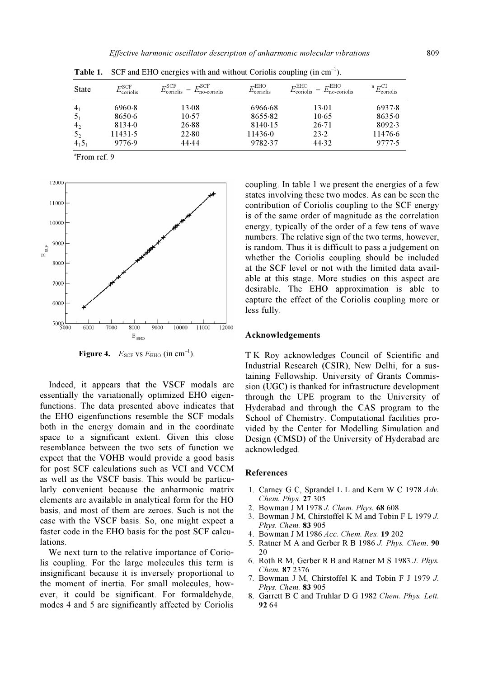| <b>State</b>   | $_{\rm L^{\circ} SCF}$<br>coriolis | $\tau_{\rm coriolis}^{\rm SCF}$<br>$E_{\text{no}}^{\text{SCF}}$<br>$-$<br>no-coriolis | $\tau_{\rm coriolis}^{\rm EHO}$ | $\nabla_{\text{coriolis}}^{\text{EHO}}$<br>$E^{\text{EHO}}$<br>'no-coriolis | a $F^{\text{CI}}$<br>coriolis |
|----------------|------------------------------------|---------------------------------------------------------------------------------------|---------------------------------|-----------------------------------------------------------------------------|-------------------------------|
| 4 <sub>1</sub> | 6960.8                             | 13.08                                                                                 | 6966.68                         | 13.01                                                                       | 6937.8                        |
| 5 <sub>1</sub> | 8650.6                             | 10.57                                                                                 | 8655.82                         | $10-65$                                                                     | 8635.0                        |
| 4 <sub>2</sub> | 8134.0                             | 26.88                                                                                 | 8140.15                         | $26-71$                                                                     | 8092.3                        |
| 5 <sub>2</sub> | 11431.5                            | 22.80                                                                                 | 11436.0                         | 23.2                                                                        | 11476.6                       |
| $4_{1}5_{1}$   | 9776.9                             | 44.44                                                                                 | 9782.37                         | 44.32                                                                       | 9777.5                        |

**Table 1.** SCF and EHO energies with and without Coriolis coupling (in  $cm^{-1}$ ).

a From ref. 9



**Figure 4.**  $E_{\text{SCF}}$  vs  $E_{\text{EHO}}$  (in cm<sup>-1</sup>).

 Indeed, it appears that the VSCF modals are essentially the variationally optimized EHO eigenfunctions. The data presented above indicates that the EHO eigenfunctions resemble the SCF modals both in the energy domain and in the coordinate space to a significant extent. Given this close resemblance between the two sets of function we expect that the VOHB would provide a good basis for post SCF calculations such as VCI and VCCM as well as the VSCF basis. This would be particularly convenient because the anharmonic matrix elements are available in analytical form for the HO basis, and most of them are zeroes. Such is not the case with the VSCF basis. So, one might expect a faster code in the EHO basis for the post SCF calculations.

 We next turn to the relative importance of Coriolis coupling. For the large molecules this term is insignificant because it is inversely proportional to the moment of inertia. For small molecules, however, it could be significant. For formaldehyde, modes 4 and 5 are significantly affected by Coriolis

coupling. In table 1 we present the energies of a few states involving these two modes. As can be seen the contribution of Coriolis coupling to the SCF energy is of the same order of magnitude as the correlation energy, typically of the order of a few tens of wave numbers. The relative sign of the two terms, however, is random. Thus it is difficult to pass a judgement on whether the Coriolis coupling should be included at the SCF level or not with the limited data available at this stage. More studies on this aspect are desirable. The EHO approximation is able to capture the effect of the Coriolis coupling more or less fully.

# Acknowledgements

T K Roy acknowledges Council of Scientific and Industrial Research (CSIR), New Delhi, for a sustaining Fellowship. University of Grants Commission (UGC) is thanked for infrastructure development through the UPE program to the University of Hyderabad and through the CAS program to the School of Chemistry. Computational facilities provided by the Center for Modelling Simulation and Design (CMSD) of the University of Hyderabad are acknowledged.

# References

- 1. Carney G C, Sprandel L L and Kern W C 1978  $Adv.$ Chem. Phys. 27 305
- 2. Bowman J M 1978 *J. Chem. Phys.* 68 608
- 3. Bowman J M, Chirstoffel K M and Tobin F L 1979 J. Phys. Chem. 83 905
- 4. Bowman J M 1986 Acc. Chem. Res. 19<sup>202</sup>
- 5. Ratner M A and Gerber R B 1986 J. Phys. Chem. 90 20
- 6. Roth R M, Gerber R B and Ratner M S 1983 J. Phys. Chem. 87 2376<br>7. Bowman J M, Chirstoffel K and Tobin F J 1979 J.
- Phys. Chem. 83 905
- 8. Garrett B C and Truhlar D G 1982 Chem. Phys. Lett. 92<sup>64</sup>